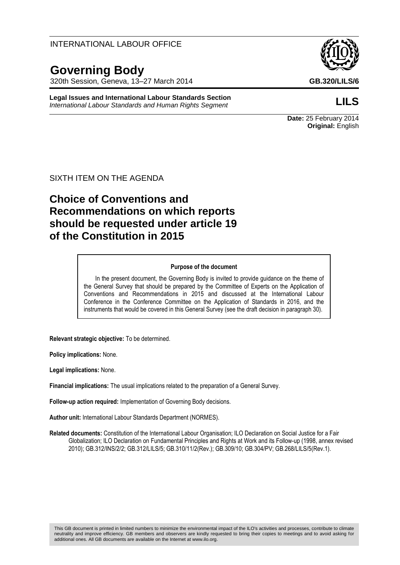## INTERNATIONAL LABOUR OFFICE

# **Governing Body**

320th Session, Geneva, 13–27 March 2014 **GB.320/LILS/6**

**Legal Issues and International Labour Standards Section** *International Labour Standards and Human Rights Segment* **LILS**



**Date:** 25 February 2014 **Original:** English

SIXTH ITEM ON THE AGENDA

# **Choice of Conventions and Recommendations on which reports should be requested under article 19 of the Constitution in 2015**

#### **Purpose of the document**

In the present document, the Governing Body is invited to provide guidance on the theme of the General Survey that should be prepared by the Committee of Experts on the Application of Conventions and Recommendations in 2015 and discussed at the International Labour Conference in the Conference Committee on the Application of Standards in 2016, and the instruments that would be covered in this General Survey (see the draft decision in paragraph 30).

**Relevant strategic objective:** To be determined.

**Policy implications:** None.

**Legal implications:** None.

**Financial implications:** The usual implications related to the preparation of a General Survey.

**Follow-up action required:** Implementation of Governing Body decisions.

**Author unit:** International Labour Standards Department (NORMES).

**Related documents:** Constitution of the International Labour Organisation; ILO Declaration on Social Justice for a Fair Globalization; ILO Declaration on Fundamental Principles and Rights at Work and its Follow-up (1998, annex revised 2010); GB.312/INS/2/2; GB.312/LILS/5; GB.310/11/2(Rev.); GB.309/10; GB.304/PV; GB.268/LILS/5(Rev.1).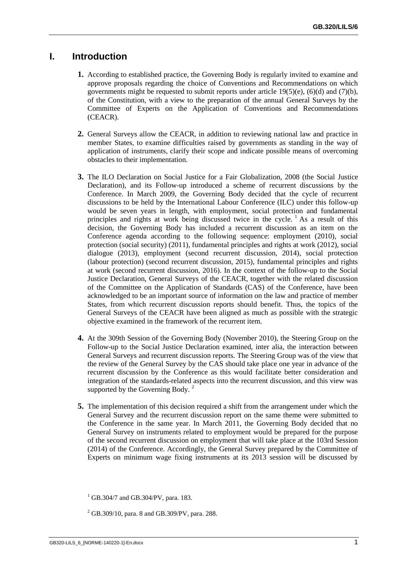# **I. Introduction**

- **1.** According to established practice, the Governing Body is regularly invited to examine and approve proposals regarding the choice of Conventions and Recommendations on which governments might be requested to submit reports under article  $19(5)(e)$ ,  $(6)(d)$  and  $(7)(b)$ , of the Constitution, with a view to the preparation of the annual General Surveys by the Committee of Experts on the Application of Conventions and Recommendations (CEACR).
- **2.** General Surveys allow the CEACR, in addition to reviewing national law and practice in member States, to examine difficulties raised by governments as standing in the way of application of instruments, clarify their scope and indicate possible means of overcoming obstacles to their implementation.
- **3.** The ILO Declaration on Social Justice for a Fair Globalization, 2008 (the Social Justice Declaration), and its Follow-up introduced a scheme of recurrent discussions by the Conference. In March 2009, the Governing Body decided that the cycle of recurrent discussions to be held by the International Labour Conference (ILC) under this follow-up would be seven years in length, with employment, social protection and fundamental principles and rights at work being discussed twice in the cycle.  $\frac{1}{1}$  As a result of this decision, the Governing Body has included a recurrent discussion as an item on the Conference agenda according to the following sequence: employment (2010), social protection (social security) (2011), fundamental principles and rights at work (2012), social dialogue (2013), employment (second recurrent discussion, 2014), social protection (labour protection) (second recurrent discussion, 2015), fundamental principles and rights at work (second recurrent discussion, 2016). In the context of the follow-up to the Social Justice Declaration, General Surveys of the CEACR, together with the related discussion of the Committee on the Application of Standards (CAS) of the Conference, have been acknowledged to be an important source of information on the law and practice of member States, from which recurrent discussion reports should benefit. Thus, the topics of the General Surveys of the CEACR have been aligned as much as possible with the strategic objective examined in the framework of the recurrent item.
- **4.** At the 309th Session of the Governing Body (November 2010), the Steering Group on the Follow-up to the Social Justice Declaration examined, inter alia, the interaction between General Surveys and recurrent discussion reports. The Steering Group was of the view that the review of the General Survey by the CAS should take place one year in advance of the recurrent discussion by the Conference as this would facilitate better consideration and integration of the standards-related aspects into the recurrent discussion, and this view was supported by the Governing Body.  $2^2$
- **5.** The implementation of this decision required a shift from the arrangement under which the General Survey and the recurrent discussion report on the same theme were submitted to the Conference in the same year. In March 2011, the Governing Body decided that no General Survey on instruments related to employment would be prepared for the purpose of the second recurrent discussion on employment that will take place at the 103rd Session (2014) of the Conference. Accordingly, the General Survey prepared by the Committee of Experts on minimum wage fixing instruments at its 2013 session will be discussed by

 $^{1}$  GB.304/7 and GB.304/PV, para. 183.

<sup>2</sup> GB.309/10, para. 8 and GB.309/PV, para. 288.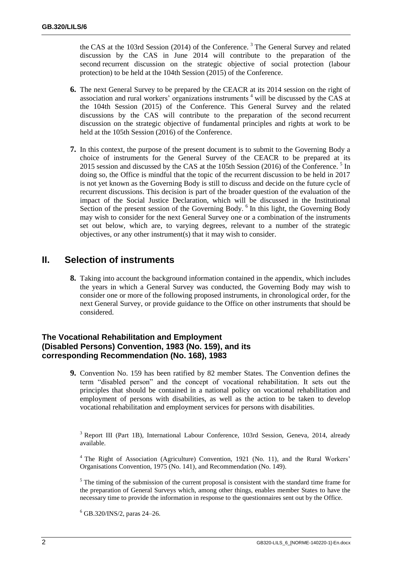the CAS at the 103rd Session (2014) of the Conference.<sup>3</sup> The General Survey and related discussion by the CAS in June 2014 will contribute to the preparation of the second recurrent discussion on the strategic objective of social protection (labour protection) to be held at the 104th Session (2015) of the Conference.

- **6.** The next General Survey to be prepared by the CEACR at its 2014 session on the right of association and rural workers' organizations instruments <sup>4</sup> will be discussed by the CAS at the 104th Session (2015) of the Conference. This General Survey and the related discussions by the CAS will contribute to the preparation of the second recurrent discussion on the strategic objective of fundamental principles and rights at work to be held at the 105th Session (2016) of the Conference.
- **7.** In this context, the purpose of the present document is to submit to the Governing Body a choice of instruments for the General Survey of the CEACR to be prepared at its 2015 session and discussed by the CAS at the 105th Session (2016) of the Conference.<sup>5</sup> In doing so, the Office is mindful that the topic of the recurrent discussion to be held in 2017 is not yet known as the Governing Body is still to discuss and decide on the future cycle of recurrent discussions. This decision is part of the broader question of the evaluation of the impact of the Social Justice Declaration, which will be discussed in the Institutional Section of the present session of the Governing Body. <sup>6</sup> In this light, the Governing Body may wish to consider for the next General Survey one or a combination of the instruments set out below, which are, to varying degrees, relevant to a number of the strategic objectives, or any other instrument(s) that it may wish to consider.

# **II. Selection of instruments**

**8.** Taking into account the background information contained in the appendix, which includes the years in which a General Survey was conducted, the Governing Body may wish to consider one or more of the following proposed instruments, in chronological order, for the next General Survey, or provide guidance to the Office on other instruments that should be considered.

### **The Vocational Rehabilitation and Employment (Disabled Persons) Convention, 1983 (No. 159), and its corresponding Recommendation (No. 168), 1983**

**9.** Convention No. 159 has been ratified by 82 member States. The Convention defines the term "disabled person" and the concept of vocational rehabilitation. It sets out the principles that should be contained in a national policy on vocational rehabilitation and employment of persons with disabilities, as well as the action to be taken to develop vocational rehabilitation and employment services for persons with disabilities.

<sup>3</sup> Report III (Part 1B), International Labour Conference, 103rd Session, Geneva, 2014, already available.

<sup>4</sup> The Right of Association (Agriculture) Convention, 1921 (No. 11), and the Rural Workers' Organisations Convention, 1975 (No. 141), and Recommendation (No. 149).

 $<sup>5</sup>$  The timing of the submission of the current proposal is consistent with the standard time frame for</sup> the preparation of General Surveys which, among other things, enables member States to have the necessary time to provide the information in response to the questionnaires sent out by the Office.

<sup>6</sup> GB.320/INS/2, paras 24–26.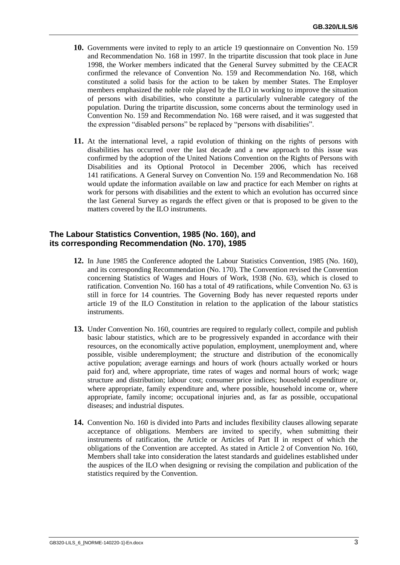- **10.** Governments were invited to reply to an article 19 questionnaire on Convention No. 159 and Recommendation No. 168 in 1997. In the tripartite discussion that took place in June 1998, the Worker members indicated that the General Survey submitted by the CEACR confirmed the relevance of Convention No. 159 and Recommendation No. 168, which constituted a solid basis for the action to be taken by member States. The Employer members emphasized the noble role played by the ILO in working to improve the situation of persons with disabilities, who constitute a particularly vulnerable category of the population. During the tripartite discussion, some concerns about the terminology used in Convention No. 159 and Recommendation No. 168 were raised, and it was suggested that the expression "disabled persons" be replaced by "persons with disabilities".
- **11.** At the international level, a rapid evolution of thinking on the rights of persons with disabilities has occurred over the last decade and a new approach to this issue was confirmed by the adoption of the United Nations Convention on the Rights of Persons with Disabilities and its Optional Protocol in December 2006, which has received 141 ratifications. A General Survey on Convention No. 159 and Recommendation No. 168 would update the information available on law and practice for each Member on rights at work for persons with disabilities and the extent to which an evolution has occurred since the last General Survey as regards the effect given or that is proposed to be given to the matters covered by the ILO instruments.

#### **The Labour Statistics Convention, 1985 (No. 160), and its corresponding Recommendation (No. 170), 1985**

- **12.** In June 1985 the Conference adopted the Labour Statistics Convention, 1985 (No. 160), and its corresponding Recommendation (No. 170). The Convention revised the Convention concerning Statistics of Wages and Hours of Work, 1938 (No. 63), which is closed to ratification. Convention No. 160 has a total of 49 ratifications, while Convention No. 63 is still in force for 14 countries. The Governing Body has never requested reports under article 19 of the ILO Constitution in relation to the application of the labour statistics instruments.
- **13.** Under Convention No. 160, countries are required to regularly collect, compile and publish basic labour statistics, which are to be progressively expanded in accordance with their resources, on the economically active population, employment, unemployment and, where possible, visible underemployment; the structure and distribution of the economically active population; average earnings and hours of work (hours actually worked or hours paid for) and, where appropriate, time rates of wages and normal hours of work; wage structure and distribution; labour cost; consumer price indices; household expenditure or, where appropriate, family expenditure and, where possible, household income or, where appropriate, family income; occupational injuries and, as far as possible, occupational diseases; and industrial disputes.
- **14.** Convention No. 160 is divided into Parts and includes flexibility clauses allowing separate acceptance of obligations. Members are invited to specify, when submitting their instruments of ratification, the Article or Articles of Part II in respect of which the obligations of the Convention are accepted. As stated in Article 2 of Convention No. 160, Members shall take into consideration the latest standards and guidelines established under the auspices of the ILO when designing or revising the compilation and publication of the statistics required by the Convention.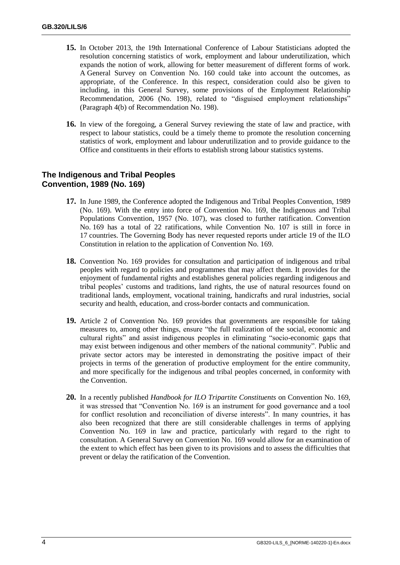- **15.** In October 2013, the 19th International Conference of Labour Statisticians adopted the resolution concerning statistics of work, employment and labour underutilization, which expands the notion of work, allowing for better measurement of different forms of work. A General Survey on Convention No. 160 could take into account the outcomes, as appropriate, of the Conference. In this respect, consideration could also be given to including, in this General Survey, some provisions of the Employment Relationship Recommendation, 2006 (No. 198), related to "disguised employment relationships" (Paragraph 4(b) of Recommendation No. 198).
- **16.** In view of the foregoing, a General Survey reviewing the state of law and practice, with respect to labour statistics, could be a timely theme to promote the resolution concerning statistics of work, employment and labour underutilization and to provide guidance to the Office and constituents in their efforts to establish strong labour statistics systems.

#### **The Indigenous and Tribal Peoples Convention, 1989 (No. 169)**

- **17.** In June 1989, the Conference adopted the Indigenous and Tribal Peoples Convention, 1989 (No. 169). With the entry into force of Convention No. 169, the Indigenous and Tribal Populations Convention, 1957 (No. 107), was closed to further ratification. Convention No. 169 has a total of 22 ratifications, while Convention No. 107 is still in force in 17 countries. The Governing Body has never requested reports under article 19 of the ILO Constitution in relation to the application of Convention No. 169.
- **18.** Convention No. 169 provides for consultation and participation of indigenous and tribal peoples with regard to policies and programmes that may affect them. It provides for the enjoyment of fundamental rights and establishes general policies regarding indigenous and tribal peoples' customs and traditions, land rights, the use of natural resources found on traditional lands, employment, vocational training, handicrafts and rural industries, social security and health, education, and cross-border contacts and communication.
- **19.** Article 2 of Convention No. 169 provides that governments are responsible for taking measures to, among other things, ensure "the full realization of the social, economic and cultural rights" and assist indigenous peoples in eliminating "socio-economic gaps that may exist between indigenous and other members of the national community". Public and private sector actors may be interested in demonstrating the positive impact of their projects in terms of the generation of productive employment for the entire community, and more specifically for the indigenous and tribal peoples concerned, in conformity with the Convention.
- **20.** In a recently published *Handbook for ILO Tripartite Constituents* on Convention No. 169, it was stressed that "Convention No. 169 is an instrument for good governance and a tool for conflict resolution and reconciliation of diverse interests". In many countries, it has also been recognized that there are still considerable challenges in terms of applying Convention No. 169 in law and practice, particularly with regard to the right to consultation. A General Survey on Convention No. 169 would allow for an examination of the extent to which effect has been given to its provisions and to assess the difficulties that prevent or delay the ratification of the Convention.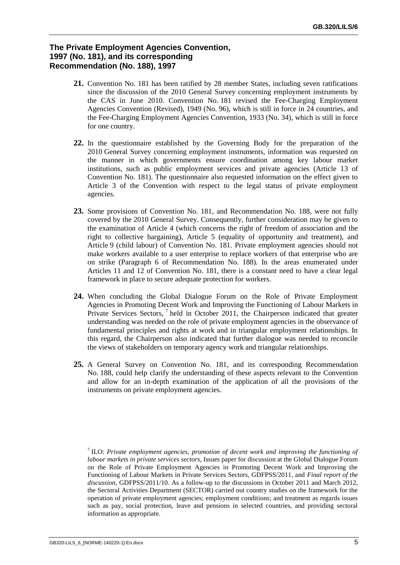#### **The Private Employment Agencies Convention, 1997 (No. 181), and its corresponding Recommendation (No. 188), 1997**

- **21.** Convention No. 181 has been ratified by 28 member States, including seven ratifications since the discussion of the 2010 General Survey concerning employment instruments by the CAS in June 2010. Convention No. 181 revised the Fee-Charging Employment Agencies Convention (Revised), 1949 (No. 96), which is still in force in 24 countries, and the Fee-Charging Employment Agencies Convention, 1933 (No. 34), which is still in force for one country.
- **22.** In the questionnaire established by the Governing Body for the preparation of the 2010 General Survey concerning employment instruments, information was requested on the manner in which governments ensure coordination among key labour market institutions, such as public employment services and private agencies (Article 13 of Convention No. 181). The questionnaire also requested information on the effect given to Article 3 of the Convention with respect to the legal status of private employment agencies.
- **23.** Some provisions of Convention No. 181, and Recommendation No. 188, were not fully covered by the 2010 General Survey. Consequently, further consideration may be given to the examination of Article 4 (which concerns the right of freedom of association and the right to collective bargaining), Article 5 (equality of opportunity and treatment), and Article 9 (child labour) of Convention No. 181. Private employment agencies should not make workers available to a user enterprise to replace workers of that enterprise who are on strike (Paragraph 6 of Recommendation No. 188). In the areas enumerated under Articles 11 and 12 of Convention No. 181, there is a constant need to have a clear legal framework in place to secure adequate protection for workers.
- **24.** When concluding the Global Dialogue Forum on the Role of Private Employment Agencies in Promoting Decent Work and Improving the Functioning of Labour Markets in Private Services Sectors,<sup>7</sup> held in October 2011, the Chairperson indicated that greater understanding was needed on the role of private employment agencies in the observance of fundamental principles and rights at work and in triangular employment relationships. In this regard, the Chairperson also indicated that further dialogue was needed to reconcile the views of stakeholders on temporary agency work and triangular relationships.
- **25.** A General Survey on Convention No. 181, and its corresponding Recommendation No. 188, could help clarify the understanding of these aspects relevant to the Convention and allow for an in-depth examination of the application of all the provisions of the instruments on private employment agencies.

<sup>7</sup> ILO: *Private employment agencies, promotion of decent work and improving the functioning of labour markets in private services sectors*, Issues paper for discussion at the Global Dialogue Forum on the Role of Private Employment Agencies in Promoting Decent Work and Improving the Functioning of Labour Markets in Private Services Sectors, GDFPSS/2011, and *Final report of the discussion*, GDFPSS/2011/10. As a follow-up to the discussions in October 2011 and March 2012, the Sectoral Activities Department (SECTOR) carried out country studies on the framework for the operation of private employment agencies; employment conditions; and treatment as regards issues such as pay, social protection, leave and pensions in selected countries, and providing sectoral information as appropriate.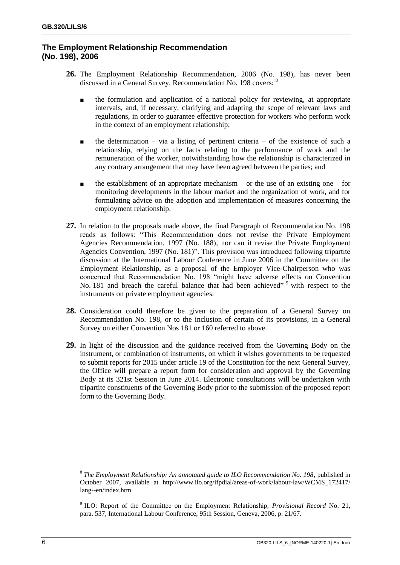#### **The Employment Relationship Recommendation (No. 198), 2006**

- **26.** The Employment Relationship Recommendation, 2006 (No. 198), has never been discussed in a General Survey. Recommendation No. 198 covers: 8
	- the formulation and application of a national policy for reviewing, at appropriate intervals, and, if necessary, clarifying and adapting the scope of relevant laws and regulations, in order to guarantee effective protection for workers who perform work in the context of an employment relationship;
	- $\blacksquare$  the determination via a listing of pertinent criteria of the existence of such a relationship, relying on the facts relating to the performance of work and the remuneration of the worker, notwithstanding how the relationship is characterized in any contrary arrangement that may have been agreed between the parties; and
	- $\blacksquare$  the establishment of an appropriate mechanism or the use of an existing one for monitoring developments in the labour market and the organization of work, and for formulating advice on the adoption and implementation of measures concerning the employment relationship.
- **27.** In relation to the proposals made above, the final Paragraph of Recommendation No. 198 reads as follows: "This Recommendation does not revise the Private Employment Agencies Recommendation, 1997 (No. 188), nor can it revise the Private Employment Agencies Convention, 1997 (No. 181)". This provision was introduced following tripartite discussion at the International Labour Conference in June 2006 in the Committee on the Employment Relationship, as a proposal of the Employer Vice-Chairperson who was concerned that Recommendation No. 198 "might have adverse effects on Convention No. 181 and breach the careful balance that had been achieved"<sup>9</sup> with respect to the instruments on private employment agencies.
- **28.** Consideration could therefore be given to the preparation of a General Survey on Recommendation No. 198, or to the inclusion of certain of its provisions, in a General Survey on either Convention Nos 181 or 160 referred to above.
- **29.** In light of the discussion and the guidance received from the Governing Body on the instrument, or combination of instruments, on which it wishes governments to be requested to submit reports for 2015 under article 19 of the Constitution for the next General Survey, the Office will prepare a report form for consideration and approval by the Governing Body at its 321st Session in June 2014. Electronic consultations will be undertaken with tripartite constituents of the Governing Body prior to the submission of the proposed report form to the Governing Body.

8 *The Employment Relationship: An annotated guide to ILO Recommendation No. 198*, published in October 2007, available at http://www.ilo.org/ifpdial/areas-of-work/labour-law/WCMS\_172417/ lang--en/index.htm.

9 ILO: Report of the Committee on the Employment Relationship, *Provisional Record* No. 21, para. 537, International Labour Conference, 95th Session, Geneva, 2006, p. 21/67.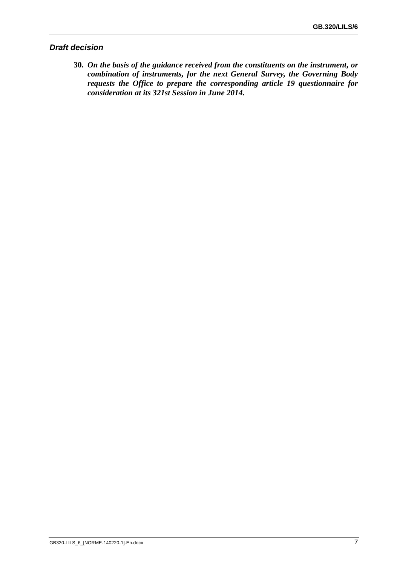#### *Draft decision*

**30.** *On the basis of the guidance received from the constituents on the instrument, or combination of instruments, for the next General Survey, the Governing Body requests the Office to prepare the corresponding article 19 questionnaire for consideration at its 321st Session in June 2014.*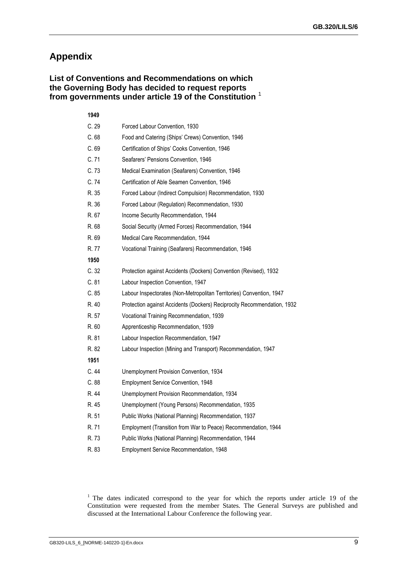# **Appendix**

#### **List of Conventions and Recommendations on which the Governing Body has decided to request reports from governments under article 19 of the Constitution** <sup>1</sup>

## **1949**

| C.29  | Forced Labour Convention, 1930                                          |
|-------|-------------------------------------------------------------------------|
| C.68  | Food and Catering (Ships' Crews) Convention, 1946                       |
| C.69  | Certification of Ships' Cooks Convention, 1946                          |
| C.71  | Seafarers' Pensions Convention, 1946                                    |
| C.73  | Medical Examination (Seafarers) Convention, 1946                        |
| C.74  | Certification of Able Seamen Convention, 1946                           |
| R. 35 | Forced Labour (Indirect Compulsion) Recommendation, 1930                |
| R. 36 | Forced Labour (Regulation) Recommendation, 1930                         |
| R. 67 | Income Security Recommendation, 1944                                    |
| R. 68 | Social Security (Armed Forces) Recommendation, 1944                     |
| R. 69 | Medical Care Recommendation, 1944                                       |
| R. 77 | Vocational Training (Seafarers) Recommendation, 1946                    |
| 1950  |                                                                         |
| C.32  | Protection against Accidents (Dockers) Convention (Revised), 1932       |
| C.81  | Labour Inspection Convention, 1947                                      |
| C.85  | Labour Inspectorates (Non-Metropolitan Territories) Convention, 1947    |
| R. 40 | Protection against Accidents (Dockers) Reciprocity Recommendation, 1932 |
| R. 57 | Vocational Training Recommendation, 1939                                |
| R. 60 | Apprenticeship Recommendation, 1939                                     |
| R. 81 | Labour Inspection Recommendation, 1947                                  |
| R. 82 | Labour Inspection (Mining and Transport) Recommendation, 1947           |
| 1951  |                                                                         |
| C.44  | Unemployment Provision Convention, 1934                                 |
| C.88  | Employment Service Convention, 1948                                     |
| R. 44 | Unemployment Provision Recommendation, 1934                             |
| R. 45 | Unemployment (Young Persons) Recommendation, 1935                       |
| R. 51 | Public Works (National Planning) Recommendation, 1937                   |
| R. 71 | Employment (Transition from War to Peace) Recommendation, 1944          |
| R. 73 | Public Works (National Planning) Recommendation, 1944                   |
| R. 83 | Employment Service Recommendation, 1948                                 |

<sup>1</sup> The dates indicated correspond to the year for which the reports under article 19 of the Constitution were requested from the member States. The General Surveys are published and discussed at the International Labour Conference the following year.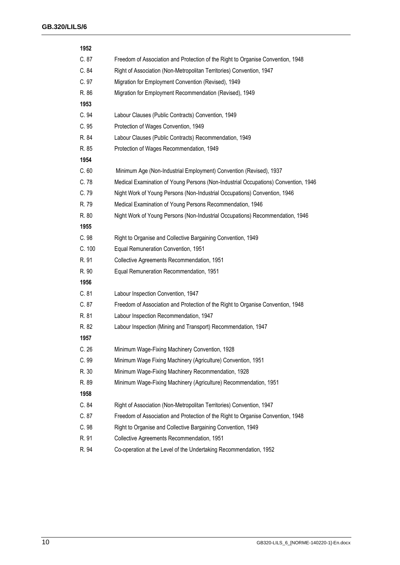| 1952   |                                                                                    |
|--------|------------------------------------------------------------------------------------|
| C.87   | Freedom of Association and Protection of the Right to Organise Convention, 1948    |
| C.84   | Right of Association (Non-Metropolitan Territories) Convention, 1947               |
| C.97   | Migration for Employment Convention (Revised), 1949                                |
| R. 86  | Migration for Employment Recommendation (Revised), 1949                            |
| 1953   |                                                                                    |
| C.94   | Labour Clauses (Public Contracts) Convention, 1949                                 |
| C.95   | Protection of Wages Convention, 1949                                               |
| R. 84  | Labour Clauses (Public Contracts) Recommendation, 1949                             |
| R. 85  | Protection of Wages Recommendation, 1949                                           |
| 1954   |                                                                                    |
| C.60   | Minimum Age (Non-Industrial Employment) Convention (Revised), 1937                 |
| C.78   | Medical Examination of Young Persons (Non-Industrial Occupations) Convention, 1946 |
| C.79   | Night Work of Young Persons (Non-Industrial Occupations) Convention, 1946          |
| R. 79  | Medical Examination of Young Persons Recommendation, 1946                          |
| R. 80  | Night Work of Young Persons (Non-Industrial Occupations) Recommendation, 1946      |
| 1955   |                                                                                    |
| C.98   | Right to Organise and Collective Bargaining Convention, 1949                       |
| C. 100 | Equal Remuneration Convention, 1951                                                |
| R. 91  | Collective Agreements Recommendation, 1951                                         |
| R. 90  | Equal Remuneration Recommendation, 1951                                            |
| 1956   |                                                                                    |
| C.81   | Labour Inspection Convention, 1947                                                 |
| C.87   | Freedom of Association and Protection of the Right to Organise Convention, 1948    |
| R. 81  | Labour Inspection Recommendation, 1947                                             |
| R. 82  | Labour Inspection (Mining and Transport) Recommendation, 1947                      |
| 1957   |                                                                                    |
| C.26   | Minimum Wage-Fixing Machinery Convention, 1928                                     |
| C. 99  | Minimum Wage Fixing Machinery (Agriculture) Convention, 1951                       |
| R. 30  | Minimum Wage-Fixing Machinery Recommendation, 1928                                 |
| R. 89  | Minimum Wage-Fixing Machinery (Agriculture) Recommendation, 1951                   |
| 1958   |                                                                                    |
| C. 84  | Right of Association (Non-Metropolitan Territories) Convention, 1947               |
| C.87   | Freedom of Association and Protection of the Right to Organise Convention, 1948    |
| C.98   | Right to Organise and Collective Bargaining Convention, 1949                       |
| R. 91  | Collective Agreements Recommendation, 1951                                         |
| R. 94  | Co-operation at the Level of the Undertaking Recommendation, 1952                  |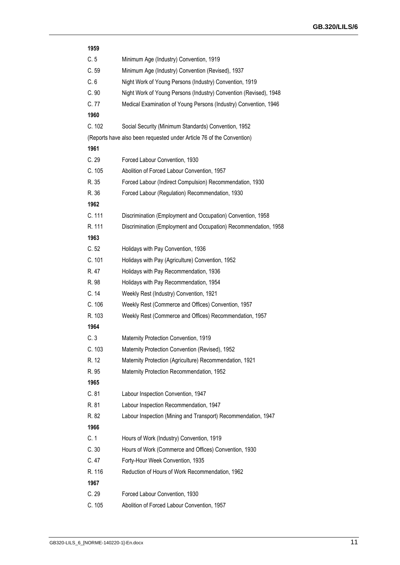| 1959   |                                                                       |
|--------|-----------------------------------------------------------------------|
| C.5    | Minimum Age (Industry) Convention, 1919                               |
| C.59   | Minimum Age (Industry) Convention (Revised), 1937                     |
| C.6    | Night Work of Young Persons (Industry) Convention, 1919               |
| C.90   | Night Work of Young Persons (Industry) Convention (Revised), 1948     |
| C.77   | Medical Examination of Young Persons (Industry) Convention, 1946      |
| 1960   |                                                                       |
| C. 102 | Social Security (Minimum Standards) Convention, 1952                  |
|        | (Reports have also been requested under Article 76 of the Convention) |
| 1961   |                                                                       |
| C.29   | Forced Labour Convention, 1930                                        |
| C. 105 | Abolition of Forced Labour Convention, 1957                           |
| R. 35  | Forced Labour (Indirect Compulsion) Recommendation, 1930              |
| R. 36  | Forced Labour (Regulation) Recommendation, 1930                       |
| 1962   |                                                                       |
| C. 111 | Discrimination (Employment and Occupation) Convention, 1958           |
| R. 111 | Discrimination (Employment and Occupation) Recommendation, 1958       |
| 1963   |                                                                       |
| C.52   | Holidays with Pay Convention, 1936                                    |
| C. 101 | Holidays with Pay (Agriculture) Convention, 1952                      |
| R. 47  | Holidays with Pay Recommendation, 1936                                |
| R. 98  | Holidays with Pay Recommendation, 1954                                |
| C.14   | Weekly Rest (Industry) Convention, 1921                               |
| C. 106 | Weekly Rest (Commerce and Offices) Convention, 1957                   |
| R. 103 | Weekly Rest (Commerce and Offices) Recommendation, 1957               |
| 1964   |                                                                       |
| C.3    | Maternity Protection Convention, 1919                                 |
| C. 103 | Maternity Protection Convention (Revised), 1952                       |
| R. 12  | Maternity Protection (Agriculture) Recommendation, 1921               |
| R. 95  | Maternity Protection Recommendation, 1952                             |
| 1965   |                                                                       |
| C.81   | Labour Inspection Convention, 1947                                    |
| R. 81  | Labour Inspection Recommendation, 1947                                |
| R. 82  | Labour Inspection (Mining and Transport) Recommendation, 1947         |
| 1966   |                                                                       |
| C.1    | Hours of Work (Industry) Convention, 1919                             |
| C.30   | Hours of Work (Commerce and Offices) Convention, 1930                 |
| C.47   | Forty-Hour Week Convention, 1935                                      |
| R. 116 | Reduction of Hours of Work Recommendation, 1962                       |
| 1967   |                                                                       |
| C.29   | Forced Labour Convention, 1930                                        |
| C. 105 | Abolition of Forced Labour Convention, 1957                           |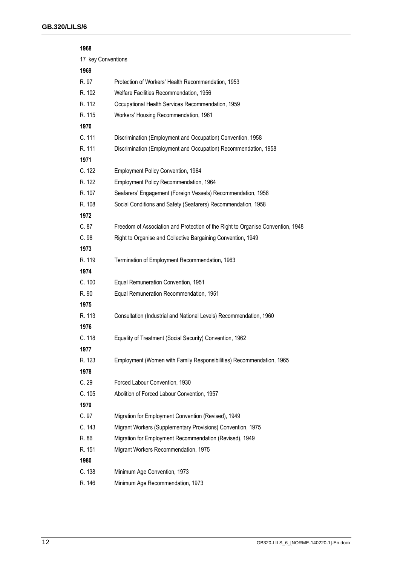| 1968               |                                                                                 |
|--------------------|---------------------------------------------------------------------------------|
| 17 key Conventions |                                                                                 |
| 1969               |                                                                                 |
| R. 97              | Protection of Workers' Health Recommendation, 1953                              |
| R. 102             | Welfare Facilities Recommendation, 1956                                         |
| R. 112             | Occupational Health Services Recommendation, 1959                               |
| R. 115             | Workers' Housing Recommendation, 1961                                           |
| 1970               |                                                                                 |
| C. 111             | Discrimination (Employment and Occupation) Convention, 1958                     |
| R. 111             | Discrimination (Employment and Occupation) Recommendation, 1958                 |
| 1971               |                                                                                 |
| C. 122             | Employment Policy Convention, 1964                                              |
| R. 122             | Employment Policy Recommendation, 1964                                          |
| R. 107             | Seafarers' Engagement (Foreign Vessels) Recommendation, 1958                    |
| R. 108             | Social Conditions and Safety (Seafarers) Recommendation, 1958                   |
| 1972               |                                                                                 |
| C.87               | Freedom of Association and Protection of the Right to Organise Convention, 1948 |
| C.98               | Right to Organise and Collective Bargaining Convention, 1949                    |
| 1973               |                                                                                 |
| R. 119             | Termination of Employment Recommendation, 1963                                  |
| 1974               |                                                                                 |
| C. 100             | Equal Remuneration Convention, 1951                                             |
| R. 90              | Equal Remuneration Recommendation, 1951                                         |
| 1975               |                                                                                 |
| R. 113             | Consultation (Industrial and National Levels) Recommendation, 1960              |
| 1976               |                                                                                 |
| C. 118             | Equality of Treatment (Social Security) Convention, 1962                        |
| 1977               |                                                                                 |
| R. 123             | Employment (Women with Family Responsibilities) Recommendation, 1965            |
| 1978               |                                                                                 |
| C.29               | Forced Labour Convention, 1930                                                  |
| C. 105             | Abolition of Forced Labour Convention, 1957                                     |
| 1979               |                                                                                 |
| C.97               | Migration for Employment Convention (Revised), 1949                             |
| C. 143             | Migrant Workers (Supplementary Provisions) Convention, 1975                     |
| R. 86              | Migration for Employment Recommendation (Revised), 1949                         |
| R. 151             | Migrant Workers Recommendation, 1975                                            |
| 1980               |                                                                                 |
| C. 138             | Minimum Age Convention, 1973                                                    |
| R. 146             | Minimum Age Recommendation, 1973                                                |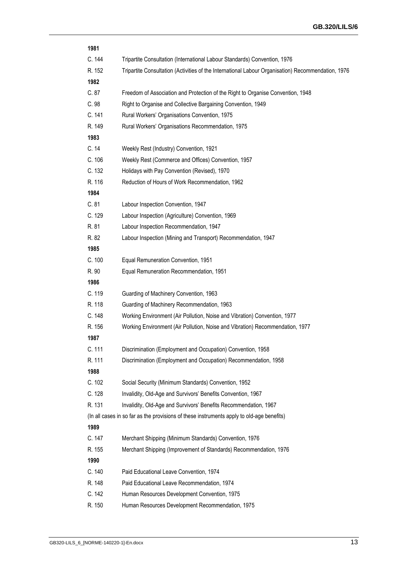| 1981   |                                                                                                    |
|--------|----------------------------------------------------------------------------------------------------|
| C. 144 | Tripartite Consultation (International Labour Standards) Convention, 1976                          |
| R. 152 | Tripartite Consultation (Activities of the International Labour Organisation) Recommendation, 1976 |
| 1982   |                                                                                                    |
| C.87   | Freedom of Association and Protection of the Right to Organise Convention, 1948                    |
| C.98   | Right to Organise and Collective Bargaining Convention, 1949                                       |
| C. 141 | Rural Workers' Organisations Convention, 1975                                                      |
| R. 149 | Rural Workers' Organisations Recommendation, 1975                                                  |
| 1983   |                                                                                                    |
| C.14   | Weekly Rest (Industry) Convention, 1921                                                            |
| C. 106 | Weekly Rest (Commerce and Offices) Convention, 1957                                                |
| C. 132 | Holidays with Pay Convention (Revised), 1970                                                       |
| R. 116 | Reduction of Hours of Work Recommendation, 1962                                                    |
| 1984   |                                                                                                    |
| C.81   | Labour Inspection Convention, 1947                                                                 |
| C. 129 | Labour Inspection (Agriculture) Convention, 1969                                                   |
| R. 81  | Labour Inspection Recommendation, 1947                                                             |
| R. 82  | Labour Inspection (Mining and Transport) Recommendation, 1947                                      |
| 1985   |                                                                                                    |
| C. 100 | Equal Remuneration Convention, 1951                                                                |
| R. 90  | Equal Remuneration Recommendation, 1951                                                            |
| 1986   |                                                                                                    |
| C. 119 | Guarding of Machinery Convention, 1963                                                             |
| R. 118 | Guarding of Machinery Recommendation, 1963                                                         |
| C. 148 | Working Environment (Air Pollution, Noise and Vibration) Convention, 1977                          |
| R. 156 | Working Environment (Air Pollution, Noise and Vibration) Recommendation, 1977                      |
| 1987   |                                                                                                    |
| C. 111 | Discrimination (Employment and Occupation) Convention, 1958                                        |
| R. 111 | Discrimination (Employment and Occupation) Recommendation, 1958                                    |
| 1988   |                                                                                                    |
| C. 102 | Social Security (Minimum Standards) Convention, 1952                                               |
| C. 128 | Invalidity, Old-Age and Survivors' Benefits Convention, 1967                                       |
| R. 131 | Invalidity, Old-Age and Survivors' Benefits Recommendation, 1967                                   |
|        | (In all cases in so far as the provisions of these instruments apply to old-age benefits)          |
| 1989   |                                                                                                    |
| C. 147 | Merchant Shipping (Minimum Standards) Convention, 1976                                             |
| R. 155 | Merchant Shipping (Improvement of Standards) Recommendation, 1976                                  |
| 1990   |                                                                                                    |
| C. 140 | Paid Educational Leave Convention, 1974                                                            |
| R. 148 | Paid Educational Leave Recommendation, 1974                                                        |
| C. 142 | Human Resources Development Convention, 1975                                                       |
| R. 150 | Human Resources Development Recommendation, 1975                                                   |
|        |                                                                                                    |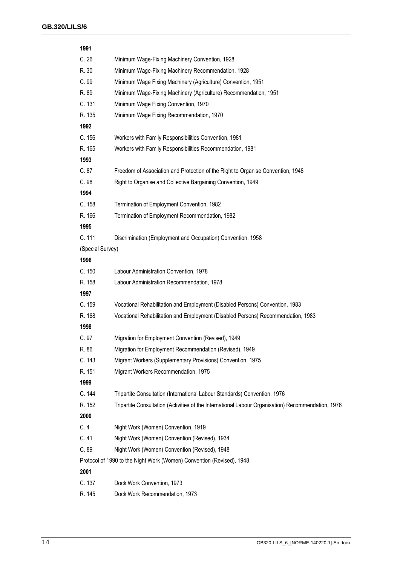| 1991             |                                                                                                    |  |
|------------------|----------------------------------------------------------------------------------------------------|--|
| C.26             | Minimum Wage-Fixing Machinery Convention, 1928                                                     |  |
| R. 30            | Minimum Wage-Fixing Machinery Recommendation, 1928                                                 |  |
| C.99             | Minimum Wage Fixing Machinery (Agriculture) Convention, 1951                                       |  |
| R. 89            | Minimum Wage-Fixing Machinery (Agriculture) Recommendation, 1951                                   |  |
| C. 131           | Minimum Wage Fixing Convention, 1970                                                               |  |
| R. 135           | Minimum Wage Fixing Recommendation, 1970                                                           |  |
| 1992             |                                                                                                    |  |
| C. 156           | Workers with Family Responsibilities Convention, 1981                                              |  |
| R. 165           | Workers with Family Responsibilities Recommendation, 1981                                          |  |
| 1993             |                                                                                                    |  |
| C.87             | Freedom of Association and Protection of the Right to Organise Convention, 1948                    |  |
| C.98             | Right to Organise and Collective Bargaining Convention, 1949                                       |  |
| 1994             |                                                                                                    |  |
| C. 158           | Termination of Employment Convention, 1982                                                         |  |
| R. 166           | Termination of Employment Recommendation, 1982                                                     |  |
| 1995             |                                                                                                    |  |
| C. 111           | Discrimination (Employment and Occupation) Convention, 1958                                        |  |
| (Special Survey) |                                                                                                    |  |
| 1996             |                                                                                                    |  |
| C. 150           | Labour Administration Convention, 1978                                                             |  |
| R. 158           | Labour Administration Recommendation, 1978                                                         |  |
| 1997             |                                                                                                    |  |
| C. 159           | Vocational Rehabilitation and Employment (Disabled Persons) Convention, 1983                       |  |
| R. 168           | Vocational Rehabilitation and Employment (Disabled Persons) Recommendation, 1983                   |  |
| 1998             |                                                                                                    |  |
| C.97             | Migration for Employment Convention (Revised), 1949                                                |  |
| R. 86            | Migration for Employment Recommendation (Revised), 1949                                            |  |
| C. 143           | Migrant Workers (Supplementary Provisions) Convention, 1975                                        |  |
| R. 151           | Migrant Workers Recommendation, 1975                                                               |  |
| 1999             |                                                                                                    |  |
| C. 144           | Tripartite Consultation (International Labour Standards) Convention, 1976                          |  |
| R. 152           | Tripartite Consultation (Activities of the International Labour Organisation) Recommendation, 1976 |  |
| 2000             |                                                                                                    |  |
| C.4              | Night Work (Women) Convention, 1919                                                                |  |
| C.41             | Night Work (Women) Convention (Revised), 1934                                                      |  |
| C.89             | Night Work (Women) Convention (Revised), 1948                                                      |  |
|                  | Protocol of 1990 to the Night Work (Women) Convention (Revised), 1948                              |  |
| 2001             |                                                                                                    |  |
| C. 137           | Dock Work Convention, 1973                                                                         |  |
| R. 145           | Dock Work Recommendation, 1973                                                                     |  |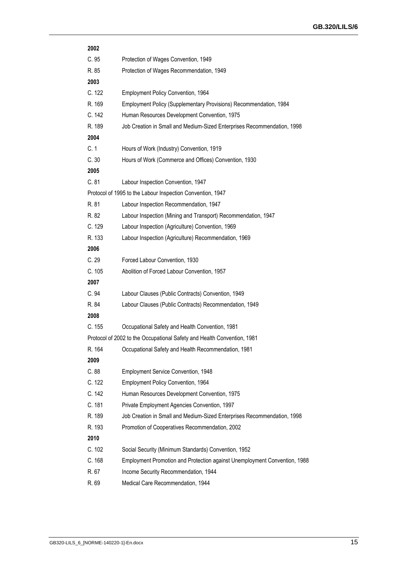| 2002   |                                                                           |
|--------|---------------------------------------------------------------------------|
| C.95   | Protection of Wages Convention, 1949                                      |
| R. 85  | Protection of Wages Recommendation, 1949                                  |
| 2003   |                                                                           |
| C. 122 | Employment Policy Convention, 1964                                        |
| R. 169 | Employment Policy (Supplementary Provisions) Recommendation, 1984         |
| C. 142 | Human Resources Development Convention, 1975                              |
| R. 189 | Job Creation in Small and Medium-Sized Enterprises Recommendation, 1998   |
| 2004   |                                                                           |
| C.1    | Hours of Work (Industry) Convention, 1919                                 |
| C.30   | Hours of Work (Commerce and Offices) Convention, 1930                     |
| 2005   |                                                                           |
| C.81   | Labour Inspection Convention, 1947                                        |
|        | Protocol of 1995 to the Labour Inspection Convention, 1947                |
| R. 81  | Labour Inspection Recommendation, 1947                                    |
| R. 82  | Labour Inspection (Mining and Transport) Recommendation, 1947             |
| C. 129 | Labour Inspection (Agriculture) Convention, 1969                          |
| R. 133 | Labour Inspection (Agriculture) Recommendation, 1969                      |
| 2006   |                                                                           |
| C.29   | Forced Labour Convention, 1930                                            |
| C. 105 | Abolition of Forced Labour Convention, 1957                               |
| 2007   |                                                                           |
| C.94   | Labour Clauses (Public Contracts) Convention, 1949                        |
| R. 84  | Labour Clauses (Public Contracts) Recommendation, 1949                    |
| 2008   |                                                                           |
| C. 155 | Occupational Safety and Health Convention, 1981                           |
|        | Protocol of 2002 to the Occupational Safety and Health Convention, 1981   |
| R. 164 | Occupational Safety and Health Recommendation, 1981                       |
| 2009   |                                                                           |
| C.88   | <b>Employment Service Convention, 1948</b>                                |
| C. 122 | Employment Policy Convention, 1964                                        |
| C. 142 | Human Resources Development Convention, 1975                              |
| C. 181 | Private Employment Agencies Convention, 1997                              |
| R. 189 | Job Creation in Small and Medium-Sized Enterprises Recommendation, 1998   |
| R. 193 | Promotion of Cooperatives Recommendation, 2002                            |
| 2010   |                                                                           |
| C. 102 | Social Security (Minimum Standards) Convention, 1952                      |
| C.168  | Employment Promotion and Protection against Unemployment Convention, 1988 |
| R. 67  | Income Security Recommendation, 1944                                      |
| R. 69  | Medical Care Recommendation, 1944                                         |